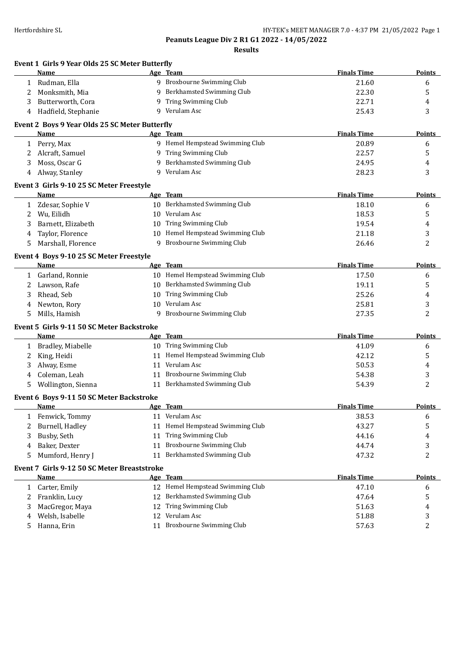**Event 1 Girls 9 Year Olds 25 SC Meter Butterfly**

**Peanuts League Div 2 R1 G1 2022 - 14/05/2022**

**Results**

| Name                          |                                                                                       |                                                                                                                                                                              |                                                                                                                                                                                                                                                                                                                                                                                                                                                                                                                      | <b>Points</b>      |
|-------------------------------|---------------------------------------------------------------------------------------|------------------------------------------------------------------------------------------------------------------------------------------------------------------------------|----------------------------------------------------------------------------------------------------------------------------------------------------------------------------------------------------------------------------------------------------------------------------------------------------------------------------------------------------------------------------------------------------------------------------------------------------------------------------------------------------------------------|--------------------|
| Rudman, Ella                  |                                                                                       |                                                                                                                                                                              | 21.60                                                                                                                                                                                                                                                                                                                                                                                                                                                                                                                | 6                  |
| Monksmith, Mia                | 9                                                                                     | Berkhamsted Swimming Club                                                                                                                                                    | 22.30                                                                                                                                                                                                                                                                                                                                                                                                                                                                                                                | 5                  |
| Butterworth, Cora             | 9                                                                                     | Tring Swimming Club                                                                                                                                                          | 22.71                                                                                                                                                                                                                                                                                                                                                                                                                                                                                                                | 4                  |
| Hadfield, Stephanie           | 9                                                                                     | Verulam Asc                                                                                                                                                                  | 25.43                                                                                                                                                                                                                                                                                                                                                                                                                                                                                                                | 3                  |
|                               |                                                                                       |                                                                                                                                                                              |                                                                                                                                                                                                                                                                                                                                                                                                                                                                                                                      |                    |
| Name                          |                                                                                       |                                                                                                                                                                              | <b>Finals Time</b>                                                                                                                                                                                                                                                                                                                                                                                                                                                                                                   | Points             |
| Perry, Max                    |                                                                                       |                                                                                                                                                                              | 20.89                                                                                                                                                                                                                                                                                                                                                                                                                                                                                                                | 6                  |
| Alcraft, Samuel               |                                                                                       |                                                                                                                                                                              | 22.57                                                                                                                                                                                                                                                                                                                                                                                                                                                                                                                | 5                  |
| Moss, Oscar G                 | 9                                                                                     |                                                                                                                                                                              | 24.95                                                                                                                                                                                                                                                                                                                                                                                                                                                                                                                | 4                  |
| Alway, Stanley                |                                                                                       |                                                                                                                                                                              | 28.23                                                                                                                                                                                                                                                                                                                                                                                                                                                                                                                | 3                  |
|                               |                                                                                       |                                                                                                                                                                              |                                                                                                                                                                                                                                                                                                                                                                                                                                                                                                                      |                    |
| Name                          |                                                                                       |                                                                                                                                                                              | <b>Finals Time</b>                                                                                                                                                                                                                                                                                                                                                                                                                                                                                                   | <b>Points</b>      |
| Zdesar, Sophie V              |                                                                                       |                                                                                                                                                                              | 18.10                                                                                                                                                                                                                                                                                                                                                                                                                                                                                                                | 6                  |
| Wu, Eilidh                    | 10                                                                                    | Verulam Asc                                                                                                                                                                  | 18.53                                                                                                                                                                                                                                                                                                                                                                                                                                                                                                                | 5                  |
| Barnett, Elizabeth            | 10                                                                                    | Tring Swimming Club                                                                                                                                                          | 19.54                                                                                                                                                                                                                                                                                                                                                                                                                                                                                                                | 4                  |
| Taylor, Florence              | 10                                                                                    | Hemel Hempstead Swimming Club                                                                                                                                                | 21.18                                                                                                                                                                                                                                                                                                                                                                                                                                                                                                                | 3                  |
| Marshall, Florence            | 9                                                                                     | Broxbourne Swimming Club                                                                                                                                                     | 26.46                                                                                                                                                                                                                                                                                                                                                                                                                                                                                                                | 2                  |
|                               |                                                                                       |                                                                                                                                                                              |                                                                                                                                                                                                                                                                                                                                                                                                                                                                                                                      |                    |
| <b>Name</b>                   |                                                                                       |                                                                                                                                                                              | <b>Finals Time</b>                                                                                                                                                                                                                                                                                                                                                                                                                                                                                                   | <b>Points</b>      |
| Garland, Ronnie               |                                                                                       |                                                                                                                                                                              | 17.50                                                                                                                                                                                                                                                                                                                                                                                                                                                                                                                | 6                  |
| Lawson, Rafe                  | 10                                                                                    | Berkhamsted Swimming Club                                                                                                                                                    | 19.11                                                                                                                                                                                                                                                                                                                                                                                                                                                                                                                | 5                  |
| Rhead, Seb                    | 10                                                                                    | Tring Swimming Club                                                                                                                                                          | 25.26                                                                                                                                                                                                                                                                                                                                                                                                                                                                                                                | 4                  |
|                               | 10                                                                                    | Verulam Asc                                                                                                                                                                  | 25.81                                                                                                                                                                                                                                                                                                                                                                                                                                                                                                                | 3                  |
| Mills, Hamish                 | 9                                                                                     |                                                                                                                                                                              | 27.35                                                                                                                                                                                                                                                                                                                                                                                                                                                                                                                | 2                  |
|                               |                                                                                       |                                                                                                                                                                              |                                                                                                                                                                                                                                                                                                                                                                                                                                                                                                                      |                    |
| Name                          |                                                                                       |                                                                                                                                                                              | <b>Finals Time</b>                                                                                                                                                                                                                                                                                                                                                                                                                                                                                                   | <b>Points</b>      |
| Bradley, Miabelle             |                                                                                       |                                                                                                                                                                              | 41.09                                                                                                                                                                                                                                                                                                                                                                                                                                                                                                                | 6                  |
| King, Heidi                   |                                                                                       | Hemel Hempstead Swimming Club                                                                                                                                                | 42.12                                                                                                                                                                                                                                                                                                                                                                                                                                                                                                                | 5                  |
| Alway, Esme                   |                                                                                       | Verulam Asc                                                                                                                                                                  | 50.53                                                                                                                                                                                                                                                                                                                                                                                                                                                                                                                | 4                  |
| Coleman, Leah                 |                                                                                       | Broxbourne Swimming Club                                                                                                                                                     | 54.38                                                                                                                                                                                                                                                                                                                                                                                                                                                                                                                | 3                  |
| Wollington, Sienna            |                                                                                       |                                                                                                                                                                              | 54.39                                                                                                                                                                                                                                                                                                                                                                                                                                                                                                                | 2                  |
|                               |                                                                                       |                                                                                                                                                                              |                                                                                                                                                                                                                                                                                                                                                                                                                                                                                                                      |                    |
| <b>Name</b>                   |                                                                                       |                                                                                                                                                                              | <b>Finals Time</b>                                                                                                                                                                                                                                                                                                                                                                                                                                                                                                   | <b>Points</b>      |
|                               |                                                                                       |                                                                                                                                                                              | 38.53                                                                                                                                                                                                                                                                                                                                                                                                                                                                                                                | 6                  |
| Burnell, Hadley               |                                                                                       | Hemel Hempstead Swimming Club                                                                                                                                                | 43.27                                                                                                                                                                                                                                                                                                                                                                                                                                                                                                                | 5                  |
| Busby, Seth                   | 11                                                                                    | Tring Swimming Club                                                                                                                                                          | 44.16                                                                                                                                                                                                                                                                                                                                                                                                                                                                                                                | 4                  |
| Baker, Dexter                 | 11                                                                                    | Broxbourne Swimming Club                                                                                                                                                     | 44.74                                                                                                                                                                                                                                                                                                                                                                                                                                                                                                                | 3                  |
| Mumford, Henry J              |                                                                                       | Berkhamsted Swimming Club                                                                                                                                                    | 47.32                                                                                                                                                                                                                                                                                                                                                                                                                                                                                                                | 2                  |
|                               |                                                                                       |                                                                                                                                                                              |                                                                                                                                                                                                                                                                                                                                                                                                                                                                                                                      |                    |
|                               |                                                                                       | Age Team                                                                                                                                                                     | <b>Finals Time</b>                                                                                                                                                                                                                                                                                                                                                                                                                                                                                                   | <b>Points</b>      |
| <b>Name</b>                   |                                                                                       |                                                                                                                                                                              |                                                                                                                                                                                                                                                                                                                                                                                                                                                                                                                      |                    |
| Carter, Emily<br>$\mathbf{1}$ |                                                                                       | 12 Hemel Hempstead Swimming Club                                                                                                                                             | 47.10                                                                                                                                                                                                                                                                                                                                                                                                                                                                                                                | 6                  |
| Franklin, Lucy                | 12                                                                                    | Berkhamsted Swimming Club                                                                                                                                                    | 47.64                                                                                                                                                                                                                                                                                                                                                                                                                                                                                                                | 5                  |
| MacGregor, Maya               | 12                                                                                    | <b>Tring Swimming Club</b>                                                                                                                                                   | 51.63                                                                                                                                                                                                                                                                                                                                                                                                                                                                                                                | 4                  |
| Welsh, Isabelle               | 12                                                                                    | Verulam Asc                                                                                                                                                                  | 51.88                                                                                                                                                                                                                                                                                                                                                                                                                                                                                                                | 3                  |
| 1<br>3<br>4<br>2<br>4<br>2    | $\mathbf{1}$<br>$\mathbf{1}$<br>1<br>Newton, Rory<br>$\mathbf{1}$<br>1 Fenwick, Tommy | Event 3 Girls 9-10 25 SC Meter Freestyle<br>Event 4 Boys 9-10 25 SC Meter Freestyle<br>Event 5 Girls 9-11 50 SC Meter Backstroke<br>Event 6 Boys 9-11 50 SC Meter Backstroke | Age Team<br>9 Broxbourne Swimming Club<br>Event 2 Boys 9 Year Olds 25 SC Meter Butterfly<br>Age Team<br>9 Hemel Hempstead Swimming Club<br>9 Tring Swimming Club<br>Berkhamsted Swimming Club<br>9 Verulam Asc<br>Age Team<br>10 Berkhamsted Swimming Club<br>Age Team<br>10 Hemel Hempstead Swimming Club<br>Broxbourne Swimming Club<br>Age Team<br>10 Tring Swimming Club<br>11<br>11<br>11<br>Berkhamsted Swimming Club<br>11<br>Age Team<br>11 Verulam Asc<br>11<br>Event 7 Girls 9-12 50 SC Meter Breaststroke | <b>Finals Time</b> |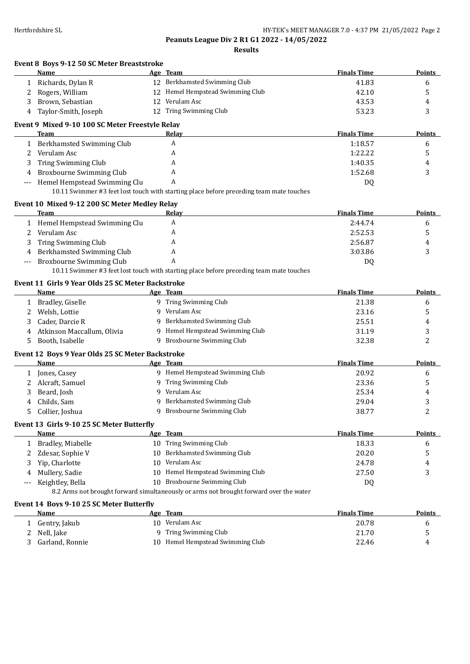**Results**

|       | Event 8 Boys 9-12 50 SC Meter Breaststroke<br>Name | Age Team                                                                                | <b>Finals Time</b> | Points        |
|-------|----------------------------------------------------|-----------------------------------------------------------------------------------------|--------------------|---------------|
| 1     | Richards, Dylan R                                  | 12 Berkhamsted Swimming Club                                                            | 41.83              | 6             |
| 2     | Rogers, William                                    | 12 Hemel Hempstead Swimming Club                                                        | 42.10              | 5             |
| 3     | Brown, Sebastian                                   | 12 Verulam Asc                                                                          | 43.53              | 4             |
| 4     | Taylor-Smith, Joseph                               | 12 Tring Swimming Club                                                                  | 53.23              | 3             |
|       | Event 9 Mixed 9-10 100 SC Meter Freestyle Relay    |                                                                                         |                    |               |
|       | Team                                               | Relay                                                                                   | <b>Finals Time</b> | Points        |
|       | 1 Berkhamsted Swimming Club                        | Α                                                                                       | 1:18.57            | 6             |
| 2     | Verulam Asc                                        | A                                                                                       | 1:22.22            | 5             |
| 3     | Tring Swimming Club                                | A                                                                                       | 1:40.35            | 4             |
| 4     | Broxbourne Swimming Club                           | A                                                                                       | 1:52.68            | 3             |
|       | Hemel Hempstead Swimming Clu                       | A                                                                                       | DQ                 |               |
|       |                                                    | 10.11 Swimmer #3 feet lost touch with starting place before preceding team mate touches |                    |               |
|       |                                                    |                                                                                         |                    |               |
|       | Event 10 Mixed 9-12 200 SC Meter Medley Relay      |                                                                                         |                    |               |
|       | Team                                               | Relay                                                                                   | <b>Finals Time</b> | Points        |
|       | 1 Hemel Hempstead Swimming Clu                     | A                                                                                       | 2:44.74            | 6             |
| 2     | Verulam Asc                                        | A                                                                                       | 2:52.53            | 5             |
| 3     | Tring Swimming Club                                | A                                                                                       | 2:56.87            | 4             |
| 4     | Berkhamsted Swimming Club                          | A                                                                                       | 3:03.86            | 3             |
| $---$ | Broxbourne Swimming Club                           | A                                                                                       | DQ                 |               |
|       |                                                    | 10.11 Swimmer #3 feet lost touch with starting place before preceding team mate touches |                    |               |
|       | Event 11 Girls 9 Year Olds 25 SC Meter Backstroke  |                                                                                         |                    |               |
|       | Name                                               | Age Team                                                                                | <b>Finals Time</b> | Points        |
| 1     | Bradley, Giselle                                   | 9 Tring Swimming Club                                                                   | 21.38              | 6             |
| 2     | Welsh, Lottie                                      | 9 Verulam Asc                                                                           | 23.16              | 5             |
| 3     | Cader, Darcie R                                    | 9 Berkhamsted Swimming Club                                                             | 25.51              | 4             |
| 4     | Atkinson Maccallum, Olivia                         | 9 Hemel Hempstead Swimming Club                                                         | 31.19              | 3             |
| 5     | Booth, Isabelle                                    | 9 Broxbourne Swimming Club                                                              | 32.38              | 2             |
|       | Event 12 Boys 9 Year Olds 25 SC Meter Backstroke   |                                                                                         |                    |               |
|       | Name                                               | Age Team                                                                                | <b>Finals Time</b> | Points        |
| 1     | Jones, Casey                                       | 9 Hemel Hempstead Swimming Club                                                         | 20.92              | 6             |
| 2     | Alcraft, Samuel                                    | 9 Tring Swimming Club                                                                   | 23.36              | 5             |
| 3     | Beard, Josh                                        | 9 Verulam Asc                                                                           | 25.34              | 4             |
| 4     | Childs, Sam                                        | 9 Berkhamsted Swimming Club                                                             | 29.04              | 3             |
| 5     | Collier, Joshua                                    | 9 Broxbourne Swimming Club                                                              | 38.77              | 2             |
|       |                                                    |                                                                                         |                    |               |
|       | Event 13 Girls 9-10 25 SC Meter Butterfly<br>Name  | Age Team                                                                                | <b>Finals Time</b> | <b>Points</b> |
| 1     | Bradley, Miabelle                                  | 10 Tring Swimming Club                                                                  | 18.33              | 6             |
| 2     | Zdesar, Sophie V                                   | 10 Berkhamsted Swimming Club                                                            | 20.20              | 5             |
| 3     | Yip, Charlotte                                     | 10 Verulam Asc                                                                          | 24.78              | 4             |
|       | Mullery, Sadie                                     | 10 Hemel Hempstead Swimming Club                                                        | 27.50              | 3             |
|       | Keightley, Bella                                   | 10 Broxbourne Swimming Club                                                             | DQ                 |               |
|       |                                                    | 8.2 Arms not brought forward simultaneously or arms not brought forward over the water  |                    |               |
|       |                                                    |                                                                                         |                    |               |
|       | Event 14 Boys 9-10 25 SC Meter Butterfly           |                                                                                         |                    |               |
|       | <b>Name</b>                                        | Age Team                                                                                | <b>Finals Time</b> | <b>Points</b> |
| 1     | Gentry, Jakub                                      | 10 Verulam Asc                                                                          | 20.78              | 6             |
| 2     | Nell, Jake                                         | 9 Tring Swimming Club                                                                   | 21.70              | 5             |
| 3     | Garland, Ronnie                                    | 10 Hemel Hempstead Swimming Club                                                        | 22.46              | 4             |
|       |                                                    |                                                                                         |                    |               |
|       |                                                    |                                                                                         |                    |               |
|       |                                                    |                                                                                         |                    |               |
|       |                                                    |                                                                                         |                    |               |
|       |                                                    |                                                                                         |                    |               |
|       |                                                    |                                                                                         |                    |               |
|       |                                                    |                                                                                         |                    |               |
|       |                                                    |                                                                                         |                    |               |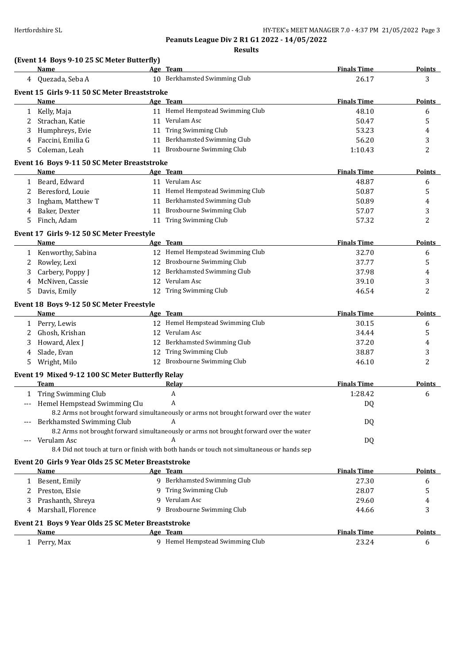**Results**

| Age Team<br>10 Berkhamsted Swimming Club<br>26.17<br>4 Quezada, Seba A<br>3<br>Event 15 Girls 9-11 50 SC Meter Breaststroke<br><b>Finals Time</b><br><b>Name</b><br>Age Team<br><b>Points</b><br>11 Hemel Hempstead Swimming Club<br>1 Kelly, Maja<br>48.10<br>6<br>11 Verulam Asc<br>5<br>Strachan, Katie<br>$\mathbf{2}^{\circ}$<br>50.47<br>11 Tring Swimming Club<br>Humphreys, Evie<br>53.23<br>4<br>3<br>Faccini, Emilia G<br>11 Berkhamsted Swimming Club<br>3<br>56.20<br>4<br>11 Broxbourne Swimming Club<br>$\overline{c}$<br>Coleman, Leah<br>1:10.43<br>5<br>Event 16 Boys 9-11 50 SC Meter Breaststroke<br>Age Team<br><b>Finals Time</b><br>Name<br>1 Beard, Edward<br>11 Verulam Asc<br>48.87<br>6<br>11 Hemel Hempstead Swimming Club<br>5<br>Beresford, Louie<br>50.87<br>2<br>11 Berkhamsted Swimming Club<br>Ingham, Matthew T<br>50.89<br>3<br>4<br>11 Broxbourne Swimming Club<br>Baker, Dexter<br>3<br>57.07<br>4<br>11 Tring Swimming Club<br>Finch, Adam<br>2<br>57.32<br>5<br>Event 17 Girls 9-12 50 SC Meter Freestyle<br><b>Finals Time</b><br><b>Name</b><br>Age Team<br><b>Points</b><br>12 Hemel Hempstead Swimming Club<br>32.70<br>1 Kenworthy, Sabina<br>6<br>12 Broxbourne Swimming Club<br>Rowley, Lexi<br>37.77<br>5<br>2<br>12 Berkhamsted Swimming Club<br>Carbery, Poppy J<br>37.98<br>3<br>4<br>12 Verulam Asc<br>McNiven, Cassie<br>39.10<br>3<br>4<br>12 Tring Swimming Club<br>2<br>46.54<br>5<br>Davis, Emily<br>Event 18 Boys 9-12 50 SC Meter Freestyle<br>Age Team<br><b>Finals Time</b><br>Name<br>Points<br>12 Hemel Hempstead Swimming Club<br>30.15<br>1 Perry, Lewis<br>6<br>12 Verulam Asc<br>Ghosh, Krishan<br>2<br>34.44<br>5<br>12 Berkhamsted Swimming Club<br>Howard, Alex J<br>37.20<br>4<br>3<br>12 Tring Swimming Club<br>Slade, Evan<br>38.87<br>3<br>4<br>12 Broxbourne Swimming Club<br>2<br>Wright, Milo<br>46.10<br>5<br>Event 19 Mixed 9-12 100 SC Meter Butterfly Relay<br><b>Finals Time</b><br>Team<br>Relay<br><b>Points</b><br>A<br>1 Tring Swimming Club<br>1:28.42<br>6<br>Hemel Hempstead Swimming Clu<br>A<br>DQ<br>$---$<br>8.2 Arms not brought forward simultaneously or arms not brought forward over the water<br>Berkhamsted Swimming Club<br>A<br>DQ<br>$---$<br>8.2 Arms not brought forward simultaneously or arms not brought forward over the water<br>A<br>Verulam Asc<br>DQ<br>---<br>8.4 Did not touch at turn or finish with both hands or touch not simultaneous or hands sep<br>Event 20 Girls 9 Year Olds 25 SC Meter Breaststroke<br>Age Team<br><b>Finals Time</b><br>Points<br>Name<br>9 Berkhamsted Swimming Club<br>1 Besent, Emily<br>27.30<br>6<br>9 Tring Swimming Club<br>Preston, Elsie<br>28.07<br>5<br>2<br>9 Verulam Asc<br>Prashanth, Shreya<br>29.60<br>3<br>4<br>9 Broxbourne Swimming Club<br>3<br>Marshall, Florence<br>44.66<br>4<br>Event 21 Boys 9 Year Olds 25 SC Meter Breaststroke<br><b>Finals Time</b><br>Name<br>Age Team<br><b>Points</b><br>9 Hemel Hempstead Swimming Club<br>23.24<br>1 Perry, Max<br>6 | (Event 14 Boys 9-10 25 SC Meter Butterfly)<br>Name |  | <b>Finals Time</b> | <b>Points</b> |
|--------------------------------------------------------------------------------------------------------------------------------------------------------------------------------------------------------------------------------------------------------------------------------------------------------------------------------------------------------------------------------------------------------------------------------------------------------------------------------------------------------------------------------------------------------------------------------------------------------------------------------------------------------------------------------------------------------------------------------------------------------------------------------------------------------------------------------------------------------------------------------------------------------------------------------------------------------------------------------------------------------------------------------------------------------------------------------------------------------------------------------------------------------------------------------------------------------------------------------------------------------------------------------------------------------------------------------------------------------------------------------------------------------------------------------------------------------------------------------------------------------------------------------------------------------------------------------------------------------------------------------------------------------------------------------------------------------------------------------------------------------------------------------------------------------------------------------------------------------------------------------------------------------------------------------------------------------------------------------------------------------------------------------------------------------------------------------------------------------------------------------------------------------------------------------------------------------------------------------------------------------------------------------------------------------------------------------------------------------------------------------------------------------------------------------------------------------------------------------------------------------------------------------------------------------------------------------------------------------------------------------------------------------------------------------------------------------------------------------------------------------------------------------------------------------------------------------------------------------------------------------------------------------------------------------------------------------------------------------------------------------------------------------------|----------------------------------------------------|--|--------------------|---------------|
|                                                                                                                                                                                                                                                                                                                                                                                                                                                                                                                                                                                                                                                                                                                                                                                                                                                                                                                                                                                                                                                                                                                                                                                                                                                                                                                                                                                                                                                                                                                                                                                                                                                                                                                                                                                                                                                                                                                                                                                                                                                                                                                                                                                                                                                                                                                                                                                                                                                                                                                                                                                                                                                                                                                                                                                                                                                                                                                                                                                                                                      |                                                    |  |                    |               |
|                                                                                                                                                                                                                                                                                                                                                                                                                                                                                                                                                                                                                                                                                                                                                                                                                                                                                                                                                                                                                                                                                                                                                                                                                                                                                                                                                                                                                                                                                                                                                                                                                                                                                                                                                                                                                                                                                                                                                                                                                                                                                                                                                                                                                                                                                                                                                                                                                                                                                                                                                                                                                                                                                                                                                                                                                                                                                                                                                                                                                                      |                                                    |  |                    |               |
|                                                                                                                                                                                                                                                                                                                                                                                                                                                                                                                                                                                                                                                                                                                                                                                                                                                                                                                                                                                                                                                                                                                                                                                                                                                                                                                                                                                                                                                                                                                                                                                                                                                                                                                                                                                                                                                                                                                                                                                                                                                                                                                                                                                                                                                                                                                                                                                                                                                                                                                                                                                                                                                                                                                                                                                                                                                                                                                                                                                                                                      |                                                    |  |                    |               |
|                                                                                                                                                                                                                                                                                                                                                                                                                                                                                                                                                                                                                                                                                                                                                                                                                                                                                                                                                                                                                                                                                                                                                                                                                                                                                                                                                                                                                                                                                                                                                                                                                                                                                                                                                                                                                                                                                                                                                                                                                                                                                                                                                                                                                                                                                                                                                                                                                                                                                                                                                                                                                                                                                                                                                                                                                                                                                                                                                                                                                                      |                                                    |  |                    |               |
|                                                                                                                                                                                                                                                                                                                                                                                                                                                                                                                                                                                                                                                                                                                                                                                                                                                                                                                                                                                                                                                                                                                                                                                                                                                                                                                                                                                                                                                                                                                                                                                                                                                                                                                                                                                                                                                                                                                                                                                                                                                                                                                                                                                                                                                                                                                                                                                                                                                                                                                                                                                                                                                                                                                                                                                                                                                                                                                                                                                                                                      |                                                    |  |                    |               |
|                                                                                                                                                                                                                                                                                                                                                                                                                                                                                                                                                                                                                                                                                                                                                                                                                                                                                                                                                                                                                                                                                                                                                                                                                                                                                                                                                                                                                                                                                                                                                                                                                                                                                                                                                                                                                                                                                                                                                                                                                                                                                                                                                                                                                                                                                                                                                                                                                                                                                                                                                                                                                                                                                                                                                                                                                                                                                                                                                                                                                                      |                                                    |  |                    |               |
|                                                                                                                                                                                                                                                                                                                                                                                                                                                                                                                                                                                                                                                                                                                                                                                                                                                                                                                                                                                                                                                                                                                                                                                                                                                                                                                                                                                                                                                                                                                                                                                                                                                                                                                                                                                                                                                                                                                                                                                                                                                                                                                                                                                                                                                                                                                                                                                                                                                                                                                                                                                                                                                                                                                                                                                                                                                                                                                                                                                                                                      |                                                    |  |                    |               |
|                                                                                                                                                                                                                                                                                                                                                                                                                                                                                                                                                                                                                                                                                                                                                                                                                                                                                                                                                                                                                                                                                                                                                                                                                                                                                                                                                                                                                                                                                                                                                                                                                                                                                                                                                                                                                                                                                                                                                                                                                                                                                                                                                                                                                                                                                                                                                                                                                                                                                                                                                                                                                                                                                                                                                                                                                                                                                                                                                                                                                                      |                                                    |  |                    |               |
|                                                                                                                                                                                                                                                                                                                                                                                                                                                                                                                                                                                                                                                                                                                                                                                                                                                                                                                                                                                                                                                                                                                                                                                                                                                                                                                                                                                                                                                                                                                                                                                                                                                                                                                                                                                                                                                                                                                                                                                                                                                                                                                                                                                                                                                                                                                                                                                                                                                                                                                                                                                                                                                                                                                                                                                                                                                                                                                                                                                                                                      |                                                    |  |                    |               |
|                                                                                                                                                                                                                                                                                                                                                                                                                                                                                                                                                                                                                                                                                                                                                                                                                                                                                                                                                                                                                                                                                                                                                                                                                                                                                                                                                                                                                                                                                                                                                                                                                                                                                                                                                                                                                                                                                                                                                                                                                                                                                                                                                                                                                                                                                                                                                                                                                                                                                                                                                                                                                                                                                                                                                                                                                                                                                                                                                                                                                                      |                                                    |  |                    | <b>Points</b> |
|                                                                                                                                                                                                                                                                                                                                                                                                                                                                                                                                                                                                                                                                                                                                                                                                                                                                                                                                                                                                                                                                                                                                                                                                                                                                                                                                                                                                                                                                                                                                                                                                                                                                                                                                                                                                                                                                                                                                                                                                                                                                                                                                                                                                                                                                                                                                                                                                                                                                                                                                                                                                                                                                                                                                                                                                                                                                                                                                                                                                                                      |                                                    |  |                    |               |
|                                                                                                                                                                                                                                                                                                                                                                                                                                                                                                                                                                                                                                                                                                                                                                                                                                                                                                                                                                                                                                                                                                                                                                                                                                                                                                                                                                                                                                                                                                                                                                                                                                                                                                                                                                                                                                                                                                                                                                                                                                                                                                                                                                                                                                                                                                                                                                                                                                                                                                                                                                                                                                                                                                                                                                                                                                                                                                                                                                                                                                      |                                                    |  |                    |               |
|                                                                                                                                                                                                                                                                                                                                                                                                                                                                                                                                                                                                                                                                                                                                                                                                                                                                                                                                                                                                                                                                                                                                                                                                                                                                                                                                                                                                                                                                                                                                                                                                                                                                                                                                                                                                                                                                                                                                                                                                                                                                                                                                                                                                                                                                                                                                                                                                                                                                                                                                                                                                                                                                                                                                                                                                                                                                                                                                                                                                                                      |                                                    |  |                    |               |
|                                                                                                                                                                                                                                                                                                                                                                                                                                                                                                                                                                                                                                                                                                                                                                                                                                                                                                                                                                                                                                                                                                                                                                                                                                                                                                                                                                                                                                                                                                                                                                                                                                                                                                                                                                                                                                                                                                                                                                                                                                                                                                                                                                                                                                                                                                                                                                                                                                                                                                                                                                                                                                                                                                                                                                                                                                                                                                                                                                                                                                      |                                                    |  |                    |               |
|                                                                                                                                                                                                                                                                                                                                                                                                                                                                                                                                                                                                                                                                                                                                                                                                                                                                                                                                                                                                                                                                                                                                                                                                                                                                                                                                                                                                                                                                                                                                                                                                                                                                                                                                                                                                                                                                                                                                                                                                                                                                                                                                                                                                                                                                                                                                                                                                                                                                                                                                                                                                                                                                                                                                                                                                                                                                                                                                                                                                                                      |                                                    |  |                    |               |
|                                                                                                                                                                                                                                                                                                                                                                                                                                                                                                                                                                                                                                                                                                                                                                                                                                                                                                                                                                                                                                                                                                                                                                                                                                                                                                                                                                                                                                                                                                                                                                                                                                                                                                                                                                                                                                                                                                                                                                                                                                                                                                                                                                                                                                                                                                                                                                                                                                                                                                                                                                                                                                                                                                                                                                                                                                                                                                                                                                                                                                      |                                                    |  |                    |               |
|                                                                                                                                                                                                                                                                                                                                                                                                                                                                                                                                                                                                                                                                                                                                                                                                                                                                                                                                                                                                                                                                                                                                                                                                                                                                                                                                                                                                                                                                                                                                                                                                                                                                                                                                                                                                                                                                                                                                                                                                                                                                                                                                                                                                                                                                                                                                                                                                                                                                                                                                                                                                                                                                                                                                                                                                                                                                                                                                                                                                                                      |                                                    |  |                    |               |
|                                                                                                                                                                                                                                                                                                                                                                                                                                                                                                                                                                                                                                                                                                                                                                                                                                                                                                                                                                                                                                                                                                                                                                                                                                                                                                                                                                                                                                                                                                                                                                                                                                                                                                                                                                                                                                                                                                                                                                                                                                                                                                                                                                                                                                                                                                                                                                                                                                                                                                                                                                                                                                                                                                                                                                                                                                                                                                                                                                                                                                      |                                                    |  |                    |               |
|                                                                                                                                                                                                                                                                                                                                                                                                                                                                                                                                                                                                                                                                                                                                                                                                                                                                                                                                                                                                                                                                                                                                                                                                                                                                                                                                                                                                                                                                                                                                                                                                                                                                                                                                                                                                                                                                                                                                                                                                                                                                                                                                                                                                                                                                                                                                                                                                                                                                                                                                                                                                                                                                                                                                                                                                                                                                                                                                                                                                                                      |                                                    |  |                    |               |
|                                                                                                                                                                                                                                                                                                                                                                                                                                                                                                                                                                                                                                                                                                                                                                                                                                                                                                                                                                                                                                                                                                                                                                                                                                                                                                                                                                                                                                                                                                                                                                                                                                                                                                                                                                                                                                                                                                                                                                                                                                                                                                                                                                                                                                                                                                                                                                                                                                                                                                                                                                                                                                                                                                                                                                                                                                                                                                                                                                                                                                      |                                                    |  |                    |               |
|                                                                                                                                                                                                                                                                                                                                                                                                                                                                                                                                                                                                                                                                                                                                                                                                                                                                                                                                                                                                                                                                                                                                                                                                                                                                                                                                                                                                                                                                                                                                                                                                                                                                                                                                                                                                                                                                                                                                                                                                                                                                                                                                                                                                                                                                                                                                                                                                                                                                                                                                                                                                                                                                                                                                                                                                                                                                                                                                                                                                                                      |                                                    |  |                    |               |
|                                                                                                                                                                                                                                                                                                                                                                                                                                                                                                                                                                                                                                                                                                                                                                                                                                                                                                                                                                                                                                                                                                                                                                                                                                                                                                                                                                                                                                                                                                                                                                                                                                                                                                                                                                                                                                                                                                                                                                                                                                                                                                                                                                                                                                                                                                                                                                                                                                                                                                                                                                                                                                                                                                                                                                                                                                                                                                                                                                                                                                      |                                                    |  |                    |               |
|                                                                                                                                                                                                                                                                                                                                                                                                                                                                                                                                                                                                                                                                                                                                                                                                                                                                                                                                                                                                                                                                                                                                                                                                                                                                                                                                                                                                                                                                                                                                                                                                                                                                                                                                                                                                                                                                                                                                                                                                                                                                                                                                                                                                                                                                                                                                                                                                                                                                                                                                                                                                                                                                                                                                                                                                                                                                                                                                                                                                                                      |                                                    |  |                    |               |
|                                                                                                                                                                                                                                                                                                                                                                                                                                                                                                                                                                                                                                                                                                                                                                                                                                                                                                                                                                                                                                                                                                                                                                                                                                                                                                                                                                                                                                                                                                                                                                                                                                                                                                                                                                                                                                                                                                                                                                                                                                                                                                                                                                                                                                                                                                                                                                                                                                                                                                                                                                                                                                                                                                                                                                                                                                                                                                                                                                                                                                      |                                                    |  |                    |               |
|                                                                                                                                                                                                                                                                                                                                                                                                                                                                                                                                                                                                                                                                                                                                                                                                                                                                                                                                                                                                                                                                                                                                                                                                                                                                                                                                                                                                                                                                                                                                                                                                                                                                                                                                                                                                                                                                                                                                                                                                                                                                                                                                                                                                                                                                                                                                                                                                                                                                                                                                                                                                                                                                                                                                                                                                                                                                                                                                                                                                                                      |                                                    |  |                    |               |
|                                                                                                                                                                                                                                                                                                                                                                                                                                                                                                                                                                                                                                                                                                                                                                                                                                                                                                                                                                                                                                                                                                                                                                                                                                                                                                                                                                                                                                                                                                                                                                                                                                                                                                                                                                                                                                                                                                                                                                                                                                                                                                                                                                                                                                                                                                                                                                                                                                                                                                                                                                                                                                                                                                                                                                                                                                                                                                                                                                                                                                      |                                                    |  |                    |               |
|                                                                                                                                                                                                                                                                                                                                                                                                                                                                                                                                                                                                                                                                                                                                                                                                                                                                                                                                                                                                                                                                                                                                                                                                                                                                                                                                                                                                                                                                                                                                                                                                                                                                                                                                                                                                                                                                                                                                                                                                                                                                                                                                                                                                                                                                                                                                                                                                                                                                                                                                                                                                                                                                                                                                                                                                                                                                                                                                                                                                                                      |                                                    |  |                    |               |
|                                                                                                                                                                                                                                                                                                                                                                                                                                                                                                                                                                                                                                                                                                                                                                                                                                                                                                                                                                                                                                                                                                                                                                                                                                                                                                                                                                                                                                                                                                                                                                                                                                                                                                                                                                                                                                                                                                                                                                                                                                                                                                                                                                                                                                                                                                                                                                                                                                                                                                                                                                                                                                                                                                                                                                                                                                                                                                                                                                                                                                      |                                                    |  |                    |               |
|                                                                                                                                                                                                                                                                                                                                                                                                                                                                                                                                                                                                                                                                                                                                                                                                                                                                                                                                                                                                                                                                                                                                                                                                                                                                                                                                                                                                                                                                                                                                                                                                                                                                                                                                                                                                                                                                                                                                                                                                                                                                                                                                                                                                                                                                                                                                                                                                                                                                                                                                                                                                                                                                                                                                                                                                                                                                                                                                                                                                                                      |                                                    |  |                    |               |
|                                                                                                                                                                                                                                                                                                                                                                                                                                                                                                                                                                                                                                                                                                                                                                                                                                                                                                                                                                                                                                                                                                                                                                                                                                                                                                                                                                                                                                                                                                                                                                                                                                                                                                                                                                                                                                                                                                                                                                                                                                                                                                                                                                                                                                                                                                                                                                                                                                                                                                                                                                                                                                                                                                                                                                                                                                                                                                                                                                                                                                      |                                                    |  |                    |               |
|                                                                                                                                                                                                                                                                                                                                                                                                                                                                                                                                                                                                                                                                                                                                                                                                                                                                                                                                                                                                                                                                                                                                                                                                                                                                                                                                                                                                                                                                                                                                                                                                                                                                                                                                                                                                                                                                                                                                                                                                                                                                                                                                                                                                                                                                                                                                                                                                                                                                                                                                                                                                                                                                                                                                                                                                                                                                                                                                                                                                                                      |                                                    |  |                    |               |
|                                                                                                                                                                                                                                                                                                                                                                                                                                                                                                                                                                                                                                                                                                                                                                                                                                                                                                                                                                                                                                                                                                                                                                                                                                                                                                                                                                                                                                                                                                                                                                                                                                                                                                                                                                                                                                                                                                                                                                                                                                                                                                                                                                                                                                                                                                                                                                                                                                                                                                                                                                                                                                                                                                                                                                                                                                                                                                                                                                                                                                      |                                                    |  |                    |               |
|                                                                                                                                                                                                                                                                                                                                                                                                                                                                                                                                                                                                                                                                                                                                                                                                                                                                                                                                                                                                                                                                                                                                                                                                                                                                                                                                                                                                                                                                                                                                                                                                                                                                                                                                                                                                                                                                                                                                                                                                                                                                                                                                                                                                                                                                                                                                                                                                                                                                                                                                                                                                                                                                                                                                                                                                                                                                                                                                                                                                                                      |                                                    |  |                    |               |
|                                                                                                                                                                                                                                                                                                                                                                                                                                                                                                                                                                                                                                                                                                                                                                                                                                                                                                                                                                                                                                                                                                                                                                                                                                                                                                                                                                                                                                                                                                                                                                                                                                                                                                                                                                                                                                                                                                                                                                                                                                                                                                                                                                                                                                                                                                                                                                                                                                                                                                                                                                                                                                                                                                                                                                                                                                                                                                                                                                                                                                      |                                                    |  |                    |               |
|                                                                                                                                                                                                                                                                                                                                                                                                                                                                                                                                                                                                                                                                                                                                                                                                                                                                                                                                                                                                                                                                                                                                                                                                                                                                                                                                                                                                                                                                                                                                                                                                                                                                                                                                                                                                                                                                                                                                                                                                                                                                                                                                                                                                                                                                                                                                                                                                                                                                                                                                                                                                                                                                                                                                                                                                                                                                                                                                                                                                                                      |                                                    |  |                    |               |
|                                                                                                                                                                                                                                                                                                                                                                                                                                                                                                                                                                                                                                                                                                                                                                                                                                                                                                                                                                                                                                                                                                                                                                                                                                                                                                                                                                                                                                                                                                                                                                                                                                                                                                                                                                                                                                                                                                                                                                                                                                                                                                                                                                                                                                                                                                                                                                                                                                                                                                                                                                                                                                                                                                                                                                                                                                                                                                                                                                                                                                      |                                                    |  |                    |               |
|                                                                                                                                                                                                                                                                                                                                                                                                                                                                                                                                                                                                                                                                                                                                                                                                                                                                                                                                                                                                                                                                                                                                                                                                                                                                                                                                                                                                                                                                                                                                                                                                                                                                                                                                                                                                                                                                                                                                                                                                                                                                                                                                                                                                                                                                                                                                                                                                                                                                                                                                                                                                                                                                                                                                                                                                                                                                                                                                                                                                                                      |                                                    |  |                    |               |
|                                                                                                                                                                                                                                                                                                                                                                                                                                                                                                                                                                                                                                                                                                                                                                                                                                                                                                                                                                                                                                                                                                                                                                                                                                                                                                                                                                                                                                                                                                                                                                                                                                                                                                                                                                                                                                                                                                                                                                                                                                                                                                                                                                                                                                                                                                                                                                                                                                                                                                                                                                                                                                                                                                                                                                                                                                                                                                                                                                                                                                      |                                                    |  |                    |               |
|                                                                                                                                                                                                                                                                                                                                                                                                                                                                                                                                                                                                                                                                                                                                                                                                                                                                                                                                                                                                                                                                                                                                                                                                                                                                                                                                                                                                                                                                                                                                                                                                                                                                                                                                                                                                                                                                                                                                                                                                                                                                                                                                                                                                                                                                                                                                                                                                                                                                                                                                                                                                                                                                                                                                                                                                                                                                                                                                                                                                                                      |                                                    |  |                    |               |
|                                                                                                                                                                                                                                                                                                                                                                                                                                                                                                                                                                                                                                                                                                                                                                                                                                                                                                                                                                                                                                                                                                                                                                                                                                                                                                                                                                                                                                                                                                                                                                                                                                                                                                                                                                                                                                                                                                                                                                                                                                                                                                                                                                                                                                                                                                                                                                                                                                                                                                                                                                                                                                                                                                                                                                                                                                                                                                                                                                                                                                      |                                                    |  |                    |               |
|                                                                                                                                                                                                                                                                                                                                                                                                                                                                                                                                                                                                                                                                                                                                                                                                                                                                                                                                                                                                                                                                                                                                                                                                                                                                                                                                                                                                                                                                                                                                                                                                                                                                                                                                                                                                                                                                                                                                                                                                                                                                                                                                                                                                                                                                                                                                                                                                                                                                                                                                                                                                                                                                                                                                                                                                                                                                                                                                                                                                                                      |                                                    |  |                    |               |
|                                                                                                                                                                                                                                                                                                                                                                                                                                                                                                                                                                                                                                                                                                                                                                                                                                                                                                                                                                                                                                                                                                                                                                                                                                                                                                                                                                                                                                                                                                                                                                                                                                                                                                                                                                                                                                                                                                                                                                                                                                                                                                                                                                                                                                                                                                                                                                                                                                                                                                                                                                                                                                                                                                                                                                                                                                                                                                                                                                                                                                      |                                                    |  |                    |               |
|                                                                                                                                                                                                                                                                                                                                                                                                                                                                                                                                                                                                                                                                                                                                                                                                                                                                                                                                                                                                                                                                                                                                                                                                                                                                                                                                                                                                                                                                                                                                                                                                                                                                                                                                                                                                                                                                                                                                                                                                                                                                                                                                                                                                                                                                                                                                                                                                                                                                                                                                                                                                                                                                                                                                                                                                                                                                                                                                                                                                                                      |                                                    |  |                    |               |
|                                                                                                                                                                                                                                                                                                                                                                                                                                                                                                                                                                                                                                                                                                                                                                                                                                                                                                                                                                                                                                                                                                                                                                                                                                                                                                                                                                                                                                                                                                                                                                                                                                                                                                                                                                                                                                                                                                                                                                                                                                                                                                                                                                                                                                                                                                                                                                                                                                                                                                                                                                                                                                                                                                                                                                                                                                                                                                                                                                                                                                      |                                                    |  |                    |               |
|                                                                                                                                                                                                                                                                                                                                                                                                                                                                                                                                                                                                                                                                                                                                                                                                                                                                                                                                                                                                                                                                                                                                                                                                                                                                                                                                                                                                                                                                                                                                                                                                                                                                                                                                                                                                                                                                                                                                                                                                                                                                                                                                                                                                                                                                                                                                                                                                                                                                                                                                                                                                                                                                                                                                                                                                                                                                                                                                                                                                                                      |                                                    |  |                    |               |
|                                                                                                                                                                                                                                                                                                                                                                                                                                                                                                                                                                                                                                                                                                                                                                                                                                                                                                                                                                                                                                                                                                                                                                                                                                                                                                                                                                                                                                                                                                                                                                                                                                                                                                                                                                                                                                                                                                                                                                                                                                                                                                                                                                                                                                                                                                                                                                                                                                                                                                                                                                                                                                                                                                                                                                                                                                                                                                                                                                                                                                      |                                                    |  |                    |               |
|                                                                                                                                                                                                                                                                                                                                                                                                                                                                                                                                                                                                                                                                                                                                                                                                                                                                                                                                                                                                                                                                                                                                                                                                                                                                                                                                                                                                                                                                                                                                                                                                                                                                                                                                                                                                                                                                                                                                                                                                                                                                                                                                                                                                                                                                                                                                                                                                                                                                                                                                                                                                                                                                                                                                                                                                                                                                                                                                                                                                                                      |                                                    |  |                    |               |
|                                                                                                                                                                                                                                                                                                                                                                                                                                                                                                                                                                                                                                                                                                                                                                                                                                                                                                                                                                                                                                                                                                                                                                                                                                                                                                                                                                                                                                                                                                                                                                                                                                                                                                                                                                                                                                                                                                                                                                                                                                                                                                                                                                                                                                                                                                                                                                                                                                                                                                                                                                                                                                                                                                                                                                                                                                                                                                                                                                                                                                      |                                                    |  |                    |               |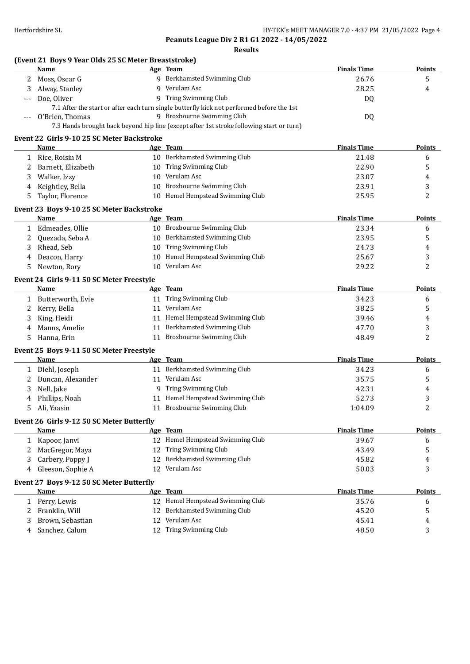**Peanuts League Div 2 R1 G1 2022 - 14/05/2022 Results**

## **(Event 21 Boys 9 Year Olds 25 SC Meter Breaststroke)**

|              | Name                                       |    | Age Team                                                                                  | <b>Finals Time</b> | <b>Points</b> |
|--------------|--------------------------------------------|----|-------------------------------------------------------------------------------------------|--------------------|---------------|
| 2            | Moss, Oscar G                              |    | 9 Berkhamsted Swimming Club                                                               | 26.76              | 5             |
| 3            | Alway, Stanley                             |    | 9 Verulam Asc                                                                             | 28.25              | 4             |
|              | Doe, Oliver                                |    | 9 Tring Swimming Club                                                                     | DQ                 |               |
|              |                                            |    | 7.1 After the start or after each turn single butterfly kick not performed before the 1st |                    |               |
| ---          | O'Brien, Thomas                            |    | 9 Broxbourne Swimming Club                                                                | DQ                 |               |
|              |                                            |    | 7.3 Hands brought back beyond hip line (except after 1st stroke following start or turn)  |                    |               |
|              | Event 22 Girls 9-10 25 SC Meter Backstroke |    |                                                                                           |                    |               |
|              | Name                                       |    | Age Team                                                                                  | <b>Finals Time</b> | Points        |
|              | 1 Rice, Roisin M                           |    | 10 Berkhamsted Swimming Club                                                              | 21.48              | 6             |
| 2            | Barnett, Elizabeth                         |    | 10 Tring Swimming Club                                                                    | 22.90              | 5             |
| 3            | Walker, Izzy                               | 10 | Verulam Asc                                                                               | 23.07              | 4             |
| 4            | Keightley, Bella                           | 10 | Broxbourne Swimming Club                                                                  | 23.91              | 3             |
| 5            | Taylor, Florence                           |    | 10 Hemel Hempstead Swimming Club                                                          | 25.95              | 2             |
|              |                                            |    |                                                                                           |                    |               |
|              | Event 23 Boys 9-10 25 SC Meter Backstroke  |    |                                                                                           |                    |               |
|              | <b>Name</b>                                |    | Age Team                                                                                  | <b>Finals Time</b> | Points        |
| $\mathbf{1}$ | Edmeades, Ollie                            |    | 10 Broxbourne Swimming Club                                                               | 23.34              | 6             |
| 2            | Quezada, Seba A                            |    | 10 Berkhamsted Swimming Club                                                              | 23.95              | 5             |
| 3            | Rhead, Seb                                 | 10 | Tring Swimming Club                                                                       | 24.73              | 4             |
| 4            | Deacon, Harry                              | 10 | Hemel Hempstead Swimming Club                                                             | 25.67              | 3             |
| 5            | Newton, Rory                               | 10 | Verulam Asc                                                                               | 29.22              | 2             |
|              | Event 24 Girls 9-11 50 SC Meter Freestyle  |    |                                                                                           |                    |               |
|              | Name                                       |    | Age Team                                                                                  | <b>Finals Time</b> | Points        |
|              | 1 Butterworth, Evie                        |    | 11 Tring Swimming Club                                                                    | 34.23              | 6             |
| 2            | Kerry, Bella                               |    | 11 Verulam Asc                                                                            | 38.25              | 5             |
| 3            | King, Heidi                                |    | 11 Hemel Hempstead Swimming Club                                                          | 39.46              | 4             |
| 4            | Manns, Amelie                              | 11 | Berkhamsted Swimming Club                                                                 | 47.70              | 3             |
| 5            | Hanna, Erin                                | 11 | Broxbourne Swimming Club                                                                  | 48.49              | 2             |
|              |                                            |    |                                                                                           |                    |               |
|              | Event 25 Boys 9-11 50 SC Meter Freestyle   |    |                                                                                           |                    |               |
|              | Name                                       |    | Age Team                                                                                  | <b>Finals Time</b> | <b>Points</b> |
| $\mathbf{1}$ | Diehl, Joseph                              |    | 11 Berkhamsted Swimming Club                                                              | 34.23              | 6             |
| 2            | Duncan, Alexander                          |    | 11 Verulam Asc                                                                            | 35.75              | 5             |
| 3            | Nell, Jake                                 |    | 9 Tring Swimming Club                                                                     | 42.31              | 4             |
| 4            | Phillips, Noah                             | 11 | Hemel Hempstead Swimming Club                                                             | 52.73              | 3             |
| 5            | Ali, Yaasin                                |    | 11 Broxbourne Swimming Club                                                               | 1:04.09            | 2             |
|              | Event 26 Girls 9-12 50 SC Meter Butterfly  |    |                                                                                           |                    |               |
|              | Name                                       |    | Age Team                                                                                  | <b>Finals Time</b> | <b>Points</b> |
| $\mathbf{1}$ | Kapoor, Janvi                              |    | 12 Hemel Hempstead Swimming Club                                                          | 39.67              | 6             |
| 2            | MacGregor, Maya                            |    | 12 Tring Swimming Club                                                                    | 43.49              | 5             |
| 3            | Carbery, Poppy J                           |    | 12 Berkhamsted Swimming Club                                                              | 45.82              | 4             |
| 4            | Gleeson, Sophie A                          |    | 12 Verulam Asc                                                                            | 50.03              | 3             |
|              | Event 27 Boys 9-12 50 SC Meter Butterfly   |    |                                                                                           |                    |               |
|              | Name                                       |    | Age Team                                                                                  | <b>Finals Time</b> | <b>Points</b> |
|              |                                            |    | 12 Hemel Hempstead Swimming Club                                                          | 35.76              |               |
|              | 1 Perry, Lewis                             |    | Berkhamsted Swimming Club                                                                 |                    | 6             |
| 2            | Franklin, Will                             | 12 | 12 Verulam Asc                                                                            | 45.20              | 5             |
| 3            | Brown, Sebastian                           |    |                                                                                           | 45.41              | 4             |
| 4            | Sanchez, Calum                             |    | 12 Tring Swimming Club                                                                    | 48.50              | 3             |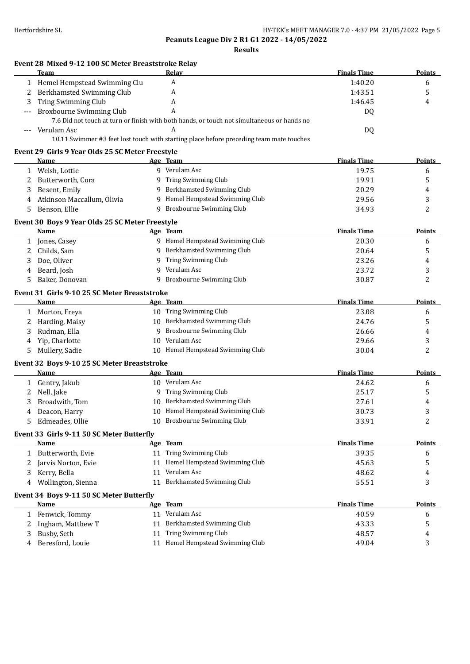|    | Event 28 Mixed 9-12 100 SC Meter Breaststroke Relay<br><b>Team</b> |   | Relay                                                                                      | <b>Finals Time</b> | Points        |
|----|--------------------------------------------------------------------|---|--------------------------------------------------------------------------------------------|--------------------|---------------|
|    | 1 Hemel Hempstead Swimming Clu                                     |   | A                                                                                          | 1:40.20            | 6             |
|    | Berkhamsted Swimming Club                                          |   | A                                                                                          | 1:43.51            | 5             |
| 3  | Tring Swimming Club                                                |   | A                                                                                          | 1:46.45            | 4             |
|    | Broxbourne Swimming Club                                           |   | A                                                                                          | DQ                 |               |
|    |                                                                    |   | 7.6 Did not touch at turn or finish with both hands, or touch not simultaneous or hands no |                    |               |
|    | Verulam Asc                                                        |   | A                                                                                          | DQ                 |               |
|    |                                                                    |   | 10.11 Swimmer #3 feet lost touch with starting place before preceding team mate touches    |                    |               |
|    | Event 29 Girls 9 Year Olds 25 SC Meter Freestyle                   |   |                                                                                            |                    |               |
|    | Name                                                               |   | Age Team                                                                                   | <b>Finals Time</b> | Points        |
| 1  | Welsh, Lottie                                                      |   | 9 Verulam Asc                                                                              | 19.75              | 6             |
| 2  | Butterworth, Cora                                                  |   | 9 Tring Swimming Club                                                                      | 19.91              | 5             |
| 3  | Besent, Emily                                                      |   | 9 Berkhamsted Swimming Club                                                                | 20.29              | 4             |
| 4  | Atkinson Maccallum, Olivia                                         |   | 9 Hemel Hempstead Swimming Club                                                            | 29.56              | 3             |
| 5  | Benson, Ellie                                                      |   | 9 Broxbourne Swimming Club                                                                 | 34.93              | 2             |
|    | Event 30 Boys 9 Year Olds 25 SC Meter Freestyle                    |   |                                                                                            |                    |               |
|    | Name                                                               |   | Age Team                                                                                   | <b>Finals Time</b> | Points        |
|    | 1 Jones, Casey                                                     |   | 9 Hemel Hempstead Swimming Club                                                            | 20.30              | 6             |
| 2  | Childs, Sam                                                        |   | 9 Berkhamsted Swimming Club                                                                | 20.64              | 5             |
| 3  | Doe, Oliver                                                        |   | 9 Tring Swimming Club                                                                      | 23.26              | 4             |
| 4  | Beard, Josh                                                        | 9 | Verulam Asc                                                                                | 23.72              | 3             |
| 5. | Baker, Donovan                                                     |   | 9 Broxbourne Swimming Club                                                                 | 30.87              | 2             |
|    |                                                                    |   |                                                                                            |                    |               |
|    | Event 31 Girls 9-10 25 SC Meter Breaststroke<br>Name               |   | Age Team                                                                                   | <b>Finals Time</b> | <b>Points</b> |
|    | 1 Morton, Freya                                                    |   | 10 Tring Swimming Club                                                                     | 23.08              | 6             |
|    | 2 Harding, Maisy                                                   |   | 10 Berkhamsted Swimming Club                                                               | 24.76              | 5             |
|    |                                                                    |   | 9 Broxbourne Swimming Club                                                                 | 26.66              |               |
| 3  | Rudman, Ella<br>Yip, Charlotte                                     |   | 10 Verulam Asc                                                                             | 29.66              | 4             |
| 4  |                                                                    |   | 10 Hemel Hempstead Swimming Club                                                           | 30.04              | 3<br>2        |
| 5  | Mullery, Sadie                                                     |   |                                                                                            |                    |               |
|    | Event 32 Boys 9-10 25 SC Meter Breaststroke                        |   |                                                                                            |                    |               |
|    | Name                                                               |   | Age Team                                                                                   | <b>Finals Time</b> | <b>Points</b> |
| 1  | Gentry, Jakub                                                      |   | 10 Verulam Asc                                                                             | 24.62              | 6             |
| 2  | Nell, Jake                                                         |   | 9 Tring Swimming Club                                                                      | 25.17              | 5             |
| 3  | Broadwith, Tom                                                     |   | 10 Berkhamsted Swimming Club                                                               | 27.61              | 4             |
|    | 4 Deacon, Harry                                                    |   | 10 Hemel Hempstead Swimming Club                                                           | 30.73              | 3             |
|    | 5 Edmeades, Ollie                                                  |   | 10 Broxbourne Swimming Club                                                                | 33.91              | 2             |
|    | Event 33 Girls 9-11 50 SC Meter Butterfly                          |   |                                                                                            |                    |               |
|    | Name                                                               |   | Age Team                                                                                   | <b>Finals Time</b> | <b>Points</b> |
|    | 1 Butterworth, Evie                                                |   | 11 Tring Swimming Club                                                                     | 39.35              | 6             |
|    | Jarvis Norton, Evie                                                |   | 11 Hemel Hempstead Swimming Club                                                           | 45.63              | 5             |
| 3. | Kerry, Bella                                                       |   | 11 Verulam Asc                                                                             | 48.62              | 4             |
|    | Wollington, Sienna                                                 |   | 11 Berkhamsted Swimming Club                                                               | 55.51              | 3             |
|    | Event 34 Boys 9-11 50 SC Meter Butterfly                           |   |                                                                                            |                    |               |
|    | <b>Name</b>                                                        |   | Age Team                                                                                   | <b>Finals Time</b> | <b>Points</b> |
| 1  | Fenwick, Tommy                                                     |   | 11 Verulam Asc                                                                             | 40.59              | 6             |
| 2  | Ingham, Matthew T                                                  |   | 11 Berkhamsted Swimming Club                                                               | 43.33              | 5             |
|    |                                                                    |   | 11 Tring Swimming Club                                                                     | 48.57              | 4             |
| 3  | Busby, Seth                                                        |   |                                                                                            |                    |               |